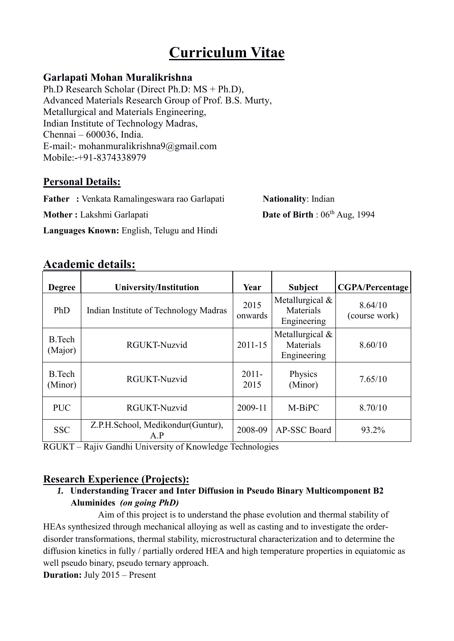# **Curriculum Vitae**

## **Garlapati Mohan Muralikrishna**

Ph.D Research Scholar (Direct Ph.D: MS + Ph.D), Advanced Materials Research Group of Prof. B.S. Murty, Metallurgical and Materials Engineering, Indian Institute of Technology Madras, Chennai – 600036, India. E-mail:- mohanmuralikrishna9@gmail.com Mobile:-+91-8374338979

## **Personal Details:**

**Father :** Venkata Ramalingeswara rao Garlapati **Nationality**: Indian

**Mother :** Lakshmi Garlapati **Date of Birth** : 06<sup>th</sup> Aug, 1994

**Languages Known:** English, Telugu and Hindi

# **Academic details:**

| <b>Degree</b>            | <b>University/Institution</b>            | Year             | <b>Subject</b>                                | <b>CGPA/Percentage</b>   |
|--------------------------|------------------------------------------|------------------|-----------------------------------------------|--------------------------|
| PhD                      | Indian Institute of Technology Madras    | 2015<br>onwards  | Metallurgical $&$<br>Materials<br>Engineering | 8.64/10<br>(course work) |
| <b>B.Tech</b><br>(Major) | <b>RGUKT-Nuzvid</b>                      | $2011 - 15$      | Metallurgical $&$<br>Materials<br>Engineering | 8.60/10                  |
| <b>B.Tech</b><br>(Minor) | RGUKT-Nuzvid                             | $2011 -$<br>2015 | Physics<br>(Minor)                            | 7.65/10                  |
| <b>PUC</b>               | RGUKT-Nuzvid                             | 2009-11          | M-BiPC                                        | 8.70/10                  |
| <b>SSC</b>               | Z.P.H.School, Medikondur(Guntur),<br>A.P | 2008-09          | AP-SSC Board                                  | 93.2%                    |

RGUKT – Rajiv Gandhi University of Knowledge Technologies

## **Research Experience (Projects):**

## *1.* **Understanding Tracer and Inter Diffusion in Pseudo Binary Multicomponent B2 Aluminides** *(on going PhD)*

Aim of this project is to understand the phase evolution and thermal stability of HEAs synthesized through mechanical alloying as well as casting and to investigate the orderdisorder transformations, thermal stability, microstructural characterization and to determine the diffusion kinetics in fully / partially ordered HEA and high temperature properties in equiatomic as well pseudo binary, pseudo ternary approach.

**Duration:** July 2015 – Present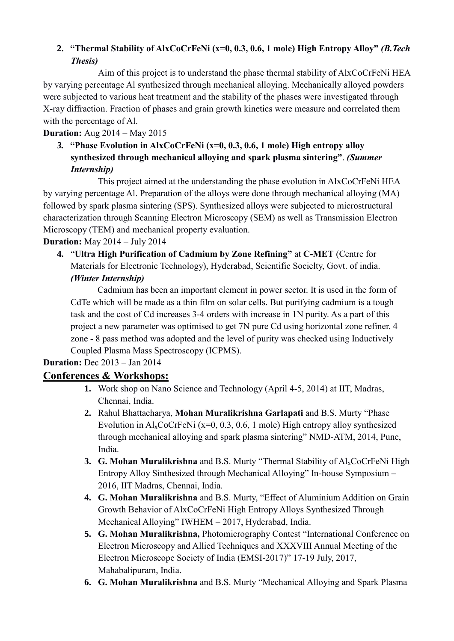## **2. "Thermal Stability of AlxCoCrFeNi (x=0, 0.3, 0.6, 1 mole) High Entropy Alloy"** *(B.Tech Thesis)*

Aim of this project is to understand the phase thermal stability of AlxCoCrFeNi HEA by varying percentage Al synthesized through mechanical alloying. Mechanically alloyed powders were subjected to various heat treatment and the stability of the phases were investigated through X-ray diffraction. Fraction of phases and grain growth kinetics were measure and correlated them with the percentage of Al.

## **Duration:** Aug 2014 – May 2015

*3.* **"Phase Evolution in AlxCoCrFeNi (x=0, 0.3, 0.6, 1 mole) High entropy alloy synthesized through mechanical alloying and spark plasma sintering"**. *(Summer Internship)*

This project aimed at the understanding the phase evolution in AlxCoCrFeNi HEA by varying percentage Al. Preparation of the alloys were done through mechanical alloying (MA) followed by spark plasma sintering (SPS). Synthesized alloys were subjected to microstructural characterization through Scanning Electron Microscopy (SEM) as well as Transmission Electron Microscopy (TEM) and mechanical property evaluation.

## **Duration:** May 2014 – July 2014

**4.** "**Ultra High Purification of Cadmium by Zone Refining"** at **C-MET** (Centre for Materials for Electronic Technology), Hyderabad, Scientific Socielty, Govt. of india. *(Winter Internship)*

Cadmium has been an important element in power sector. It is used in the form of CdTe which will be made as a thin film on solar cells. But purifying cadmium is a tough task and the cost of Cd increases 3-4 orders with increase in 1N purity. As a part of this project a new parameter was optimised to get 7N pure Cd using horizontal zone refiner. 4 zone - 8 pass method was adopted and the level of purity was checked using Inductively Coupled Plasma Mass Spectroscopy (ICPMS).

## **Duration:** Dec 2013 – Jan 2014

## **Conferences & Workshops:**

- **1.** Work shop on Nano Science and Technology (April 4-5, 2014) at IIT, Madras, Chennai, India.
- **2.** Rahul Bhattacharya, **Mohan Muralikrishna Garlapati** and B.S. Murty "Phase Evolution in  $Al_xCoCrFeNi$  (x=0, 0.3, 0.6, 1 mole) High entropy alloy synthesized through mechanical alloying and spark plasma sintering" NMD-ATM, 2014, Pune, India.
- **3. G. Mohan Muralikrishna** and B.S. Murty "Thermal Stability of Al<sub>x</sub>CoCrFeNi High Entropy Alloy Sinthesized through Mechanical Alloying" In-house Symposium – 2016, IIT Madras, Chennai, India.
- **4. G. Mohan Muralikrishna** and B.S. Murty, "Effect of Aluminium Addition on Grain Growth Behavior of AlxCoCrFeNi High Entropy Alloys Synthesized Through Mechanical Alloying" IWHEM – 2017, Hyderabad, India.
- **5. G. Mohan Muralikrishna,** Photomicrography Contest "International Conference on Electron Microscopy and Allied Techniques and XXXVIII Annual Meeting of the Electron Microscope Society of India (EMSI-2017)" 17-19 July, 2017, Mahabalipuram, India.
- **6. G. Mohan Muralikrishna** and B.S. Murty "Mechanical Alloying and Spark Plasma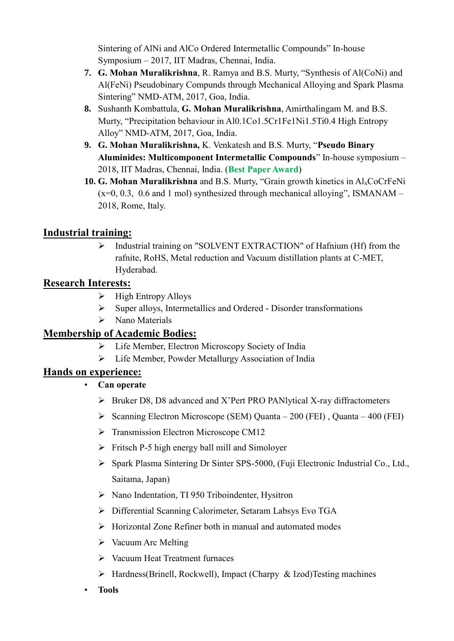Sintering of AlNi and AlCo Ordered Intermetallic Compounds" In-house Symposium – 2017, IIT Madras, Chennai, India.

- **7. G. Mohan Muralikrishna**, R. Ramya and B.S. Murty, "Synthesis of Al(CoNi) and Al(FeNi) Pseudobinary Compunds through Mechanical Alloying and Spark Plasma Sintering" NMD-ATM, 2017, Goa, India.
- **8.** Sushanth Kombattula, **G. Mohan Muralikrishna**, Amirthalingam M. and B.S. Murty, "Precipitation behaviour in Al0.1Co1.5Cr1Fe1Ni1.5Ti0.4 High Entropy Alloy" NMD-ATM, 2017, Goa, India.
- **9. G. Mohan Muralikrishna,** K. Venkatesh and B.S. Murty, "**Pseudo Binary Aluminides: Multicomponent Intermetallic Compounds**" In-house symposium – 2018, IIT Madras, Chennai, India. (**Best Paper Award**)
- **10. G. Mohan Muralikrishna** and B.S. Murty, "Grain growth kinetics in AlxCoCrFeNi  $(x=0, 0.3, 0.6$  and 1 mol) synthesized through mechanical alloying", ISMANAM – 2018, Rome, Italy.

## **Industrial training:**

 Industrial training on "SOLVENT EXTRACTION" of Hafnium (Hf) from the rafnite, RoHS, Metal reduction and Vacuum distillation plants at C-MET, Hyderabad.

## **Research Interests:**

- $\triangleright$  High Entropy Alloys
- $\triangleright$  Super alloys, Intermetallics and Ordered Disorder transformations
- $\triangleright$  Nano Materials

## **Membership of Academic Bodies:**

- Life Member, Electron Microscopy Society of India
- Life Member, Powder Metallurgy Association of India

## **Hands on experience:**

- **Can operate** 
	- Bruker D8, D8 advanced and X'Pert PRO PANlytical X-ray diffractometers
	- $\triangleright$  Scanning Electron Microscope (SEM) Quanta 200 (FEI), Quanta 400 (FEI)
	- $\triangleright$  Transmission Electron Microscope CM12
	- $\triangleright$  Fritsch P-5 high energy ball mill and Simolover
	- Spark Plasma Sintering Dr Sinter SPS-5000, (Fuji Electronic Industrial Co., Ltd., Saitama, Japan)
	- ▶ Nano Indentation, TI 950 Triboindenter, Hysitron
	- Differential Scanning Calorimeter, Setaram Labsys Evo TGA
	- $\triangleright$  Horizontal Zone Refiner both in manual and automated modes
	- $\triangleright$  Vacuum Arc Melting
	- Vacuum Heat Treatment furnaces
	- $\triangleright$  Hardness(Brinell, Rockwell), Impact (Charpy & Izod)Testing machines
- **Tools**